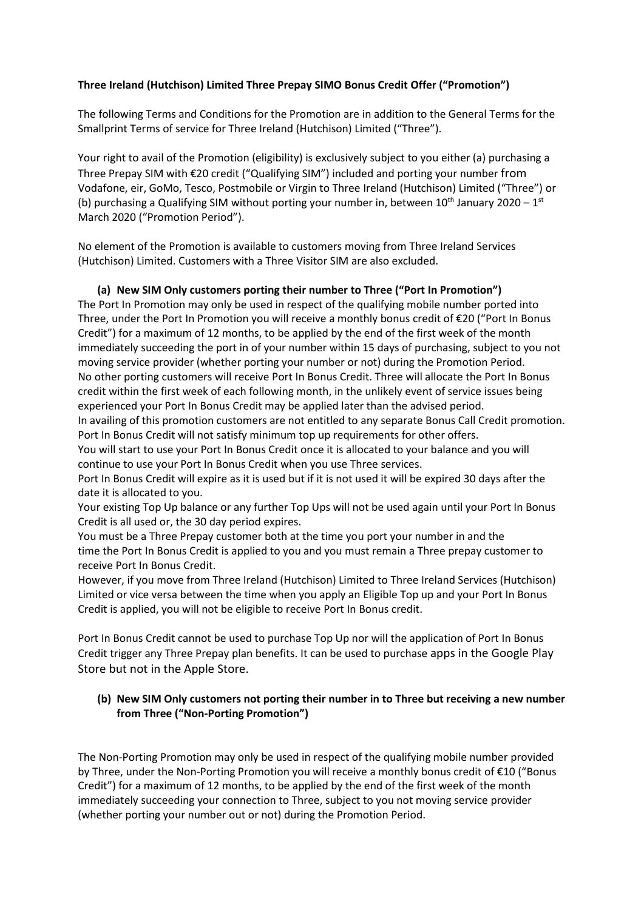## **Three Ireland (Hutchison) Limited Three Prepay SIMO Bonus Credit Offer ("Promotion")**

The following Terms and Conditions for the Promotion are in addition to the General Terms for the Smallprint Terms of service for Three Ireland (Hutchison) Limited ("Three").

Your right to avail of the Promotion (eligibility) is exclusively subject to you either (a) purchasing a Three Prepay SIM with €20 credit ("Qualifying SIM") included and porting your number from Vodafone, eir, GoMo, Tesco, Postmobile or Virgin to Three Ireland (Hutchison) Limited ("Three") or (b) purchasing a Qualifying SIM without porting your number in, between  $10^{th}$  January 2020 –  $1^{st}$ March 2020 ("Promotion Period").

No element of the Promotion is available to customers moving from Three Ireland Services (Hutchison) Limited. Customers with a Three Visitor SIM are also excluded.

## **(a) New SIM Only customers porting their number to Three ("Port In Promotion")**

The Port In Promotion may only be used in respect of the qualifying mobile number ported into Three, under the Port In Promotion you will receive a monthly bonus credit of €20 ("Port In Bonus Credit") for a maximum of 12 months, to be applied by the end of the first week of the month immediately succeeding the port in of your number within 15 days of purchasing, subject to you not moving service provider (whether porting your number or not) during the Promotion Period. No other porting customers will receive Port In Bonus Credit. Three will allocate the Port In Bonus credit within the first week of each following month, in the unlikely event of service issues being experienced your Port In Bonus Credit may be applied later than the advised period.

In availing of this promotion customers are not entitled to any separate Bonus Call Credit promotion. Port In Bonus Credit will not satisfy minimum top up requirements for other offers.

You will start to use your Port In Bonus Credit once it is allocated to your balance and you will continue to use your Port In Bonus Credit when you use Three services.

Port In Bonus Credit will expire as it is used but if it is not used it will be expired 30 days after the date it is allocated to you.

Your existing Top Up balance or any further Top Ups will not be used again until your Port In Bonus Credit is all used or, the 30 day period expires.

You must be a Three Prepay customer both at the time you port your number in and the time the Port In Bonus Credit is applied to you and you must remain a Three prepay customer to receive Port In Bonus Credit.

However, if you move from Three Ireland (Hutchison) Limited to Three Ireland Services (Hutchison) Limited or vice versa between the time when you apply an Eligible Top up and your Port In Bonus Credit is applied, you will not be eligible to receive Port In Bonus credit.

Port In Bonus Credit cannot be used to purchase Top Up nor will the application of Port In Bonus Credit trigger any Three Prepay plan benefits. It can be used to purchase apps in the Google Play Store but not in the Apple Store.

## **(b) New SIM Only customers not porting their number in to Three but receiving a new number from Three ("Non-Porting Promotion")**

The Non-Porting Promotion may only be used in respect of the qualifying mobile number provided by Three, under the Non-Porting Promotion you will receive a monthly bonus credit of €10 ("Bonus Credit") for a maximum of 12 months, to be applied by the end of the first week of the month immediately succeeding your connection to Three, subject to you not moving service provider (whether porting your number out or not) during the Promotion Period.